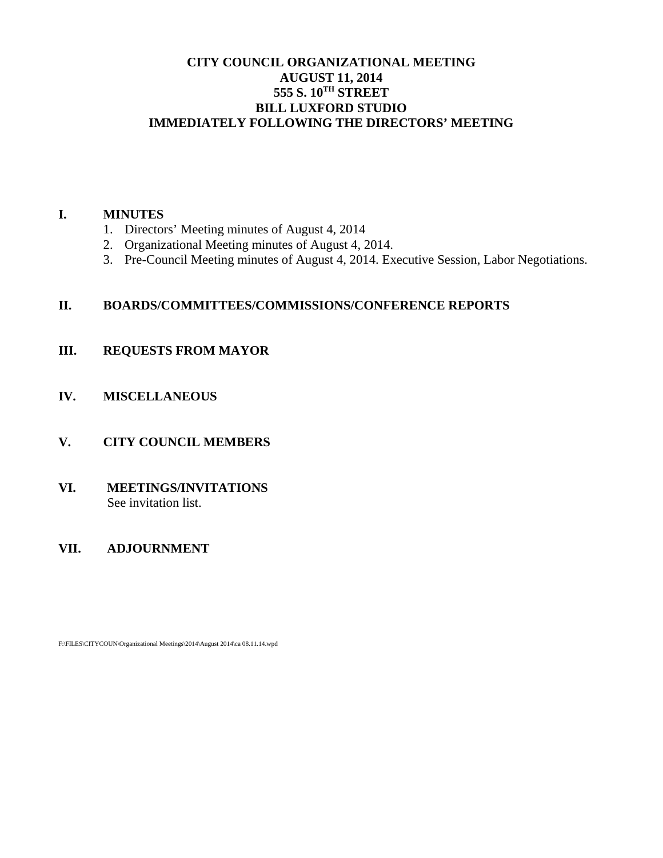# **CITY COUNCIL ORGANIZATIONAL MEETING AUGUST 11, 2014 555 S. 10TH STREET BILL LUXFORD STUDIO IMMEDIATELY FOLLOWING THE DIRECTORS' MEETING**

## **I. MINUTES**

- 1. Directors' Meeting minutes of August 4, 2014
- 2. Organizational Meeting minutes of August 4, 2014.
- 3. Pre-Council Meeting minutes of August 4, 2014. Executive Session, Labor Negotiations.

# **II. BOARDS/COMMITTEES/COMMISSIONS/CONFERENCE REPORTS**

- **III. REQUESTS FROM MAYOR**
- **IV. MISCELLANEOUS**
- **V. CITY COUNCIL MEMBERS**
- **VI. MEETINGS/INVITATIONS** See invitation list.

# **VII. ADJOURNMENT**

F:\FILES\CITYCOUN\Organizational Meetings\2014\August 2014\ca 08.11.14.wpd